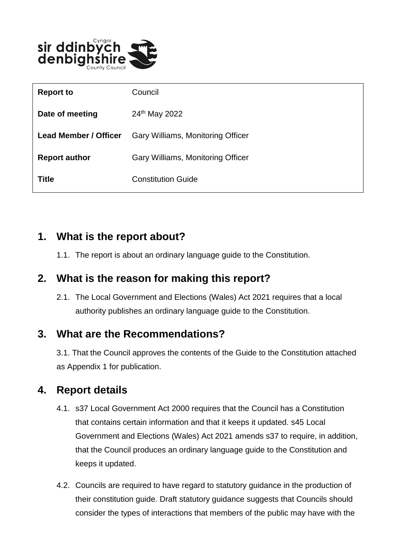

| <b>Report to</b>             | Council                           |
|------------------------------|-----------------------------------|
| Date of meeting              | 24 <sup>th</sup> May 2022         |
| <b>Lead Member / Officer</b> | Gary Williams, Monitoring Officer |
| <b>Report author</b>         | Gary Williams, Monitoring Officer |
| Title                        | <b>Constitution Guide</b>         |

## **1. What is the report about?**

1.1. The report is about an ordinary language guide to the Constitution.

## **2. What is the reason for making this report?**

2.1. The Local Government and Elections (Wales) Act 2021 requires that a local authority publishes an ordinary language guide to the Constitution.

#### **3. What are the Recommendations?**

3.1. That the Council approves the contents of the Guide to the Constitution attached as Appendix 1 for publication.

## **4. Report details**

- 4.1. s37 Local Government Act 2000 requires that the Council has a Constitution that contains certain information and that it keeps it updated. s45 Local Government and Elections (Wales) Act 2021 amends s37 to require, in addition, that the Council produces an ordinary language guide to the Constitution and keeps it updated.
- 4.2. Councils are required to have regard to statutory guidance in the production of their constitution guide. Draft statutory guidance suggests that Councils should consider the types of interactions that members of the public may have with the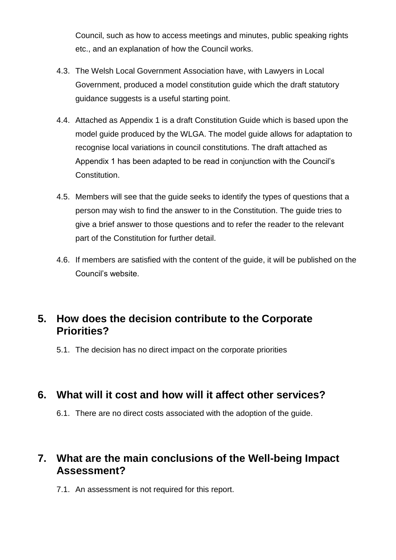Council, such as how to access meetings and minutes, public speaking rights etc., and an explanation of how the Council works.

- 4.3. The Welsh Local Government Association have, with Lawyers in Local Government, produced a model constitution guide which the draft statutory guidance suggests is a useful starting point.
- 4.4. Attached as Appendix 1 is a draft Constitution Guide which is based upon the model guide produced by the WLGA. The model guide allows for adaptation to recognise local variations in council constitutions. The draft attached as Appendix 1 has been adapted to be read in conjunction with the Council's Constitution.
- 4.5. Members will see that the guide seeks to identify the types of questions that a person may wish to find the answer to in the Constitution. The guide tries to give a brief answer to those questions and to refer the reader to the relevant part of the Constitution for further detail.
- 4.6. If members are satisfied with the content of the guide, it will be published on the Council's website.

## **5. How does the decision contribute to the Corporate Priorities?**

5.1. The decision has no direct impact on the corporate priorities

#### **6. What will it cost and how will it affect other services?**

6.1. There are no direct costs associated with the adoption of the guide.

#### **7. What are the main conclusions of the Well-being Impact Assessment?**

7.1. An assessment is not required for this report.